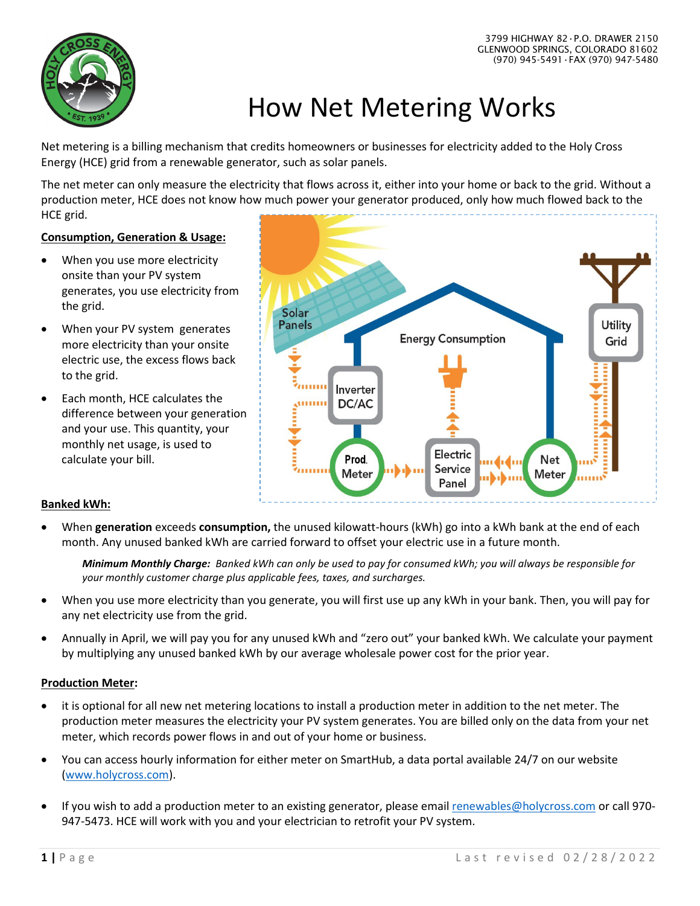

# How Net Metering Works

Net metering is a billing mechanism that credits homeowners or businesses for electricity added to the Holy Cross Energy (HCE) grid from a renewable generator, such as solar panels.

The net meter can only measure the electricity that flows across it, either into your home or back to the grid. Without a production meter, HCE does not know how much power your generator produced, only how much flowed back to the HCE grid.

### **Consumption, Generation & Usage:**

- When you use more electricity onsite than your PV system generates, you use electricity from the grid.
- When your PV system generates more electricity than your onsite electric use, the excess flows back to the grid.
- Each month, HCE calculates the difference between your generation and your use. This quantity, your monthly net usage, is used to calculate your bill.



### **Banked kWh:**

• When **generation** exceeds **consumption,** the unused kilowatt-hours (kWh) go into a kWh bank at the end of each month. Any unused banked kWh are carried forward to offset your electric use in a future month.

*Minimum Monthly Charge: Banked kWh can only be used to pay for consumed kWh; you will always be responsible for your monthly customer charge plus applicable fees, taxes, and surcharges.*

- When you use more electricity than you generate, you will first use up any kWh in your bank. Then, you will pay for any net electricity use from the grid.
- Annually in April, we will pay you for any unused kWh and "zero out" your banked kWh. We calculate your payment by multiplying any unused banked kWh by our average wholesale power cost for the prior year.

# **Production Meter:**

- it is optional for all new net metering locations to install a production meter in addition to the net meter. The production meter measures the electricity your PV system generates. You are billed only on the data from your net meter, which records power flows in and out of your home or business.
- You can access hourly information for either meter on SmartHub, a data portal available 24/7 on our website [\(www.holycross.com\)](http://www.holycross.com/).
- If you wish to add a production meter to an existing generator, please emai[l renewables@holycross.com](mailto:renewables@holycross.com) or call 970- 947-5473. HCE will work with you and your electrician to retrofit your PV system.